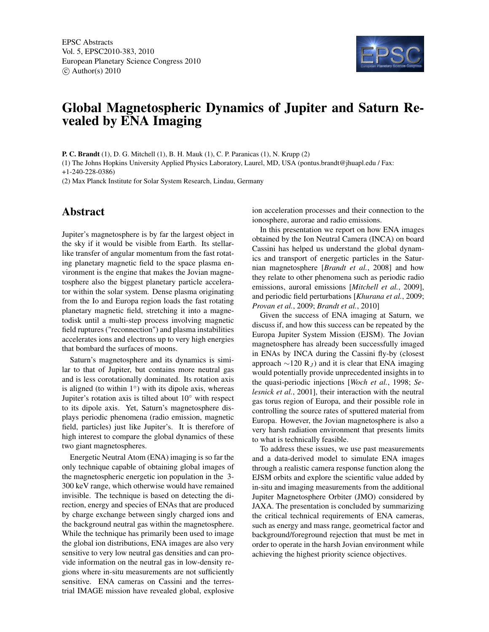

## Global Magnetospheric Dynamics of Jupiter and Saturn Revealed by ENA Imaging

P. C. Brandt (1), D. G. Mitchell (1), B. H. Mauk (1), C. P. Paranicas (1), N. Krupp (2)

(1) The Johns Hopkins University Applied Physics Laboratory, Laurel, MD, USA (pontus.brandt@jhuapl.edu / Fax: +1-240-228-0386)

(2) Max Planck Institute for Solar System Research, Lindau, Germany

## Abstract

Jupiter's magnetosphere is by far the largest object in the sky if it would be visible from Earth. Its stellarlike transfer of angular momentum from the fast rotating planetary magnetic field to the space plasma environment is the engine that makes the Jovian magnetosphere also the biggest planetary particle accelerator within the solar system. Dense plasma originating from the Io and Europa region loads the fast rotating planetary magnetic field, stretching it into a magnetodisk until a multi-step process involving magnetic field ruptures ("reconnection") and plasma instabilities accelerates ions and electrons up to very high energies that bombard the surfaces of moons.

Saturn's magnetosphere and its dynamics is similar to that of Jupiter, but contains more neutral gas and is less corotationally dominated. Its rotation axis is aligned (to within 1◦ ) with its dipole axis, whereas Jupiter's rotation axis is tilted about 10◦ with respect to its dipole axis. Yet, Saturn's magnetosphere displays periodic phenomena (radio emission, magnetic field, particles) just like Jupiter's. It is therefore of high interest to compare the global dynamics of these two giant magnetospheres.

Energetic Neutral Atom (ENA) imaging is so far the only technique capable of obtaining global images of the magnetospheric energetic ion population in the 3- 300 keV range, which otherwise would have remained invisible. The technique is based on detecting the direction, energy and species of ENAs that are produced by charge exchange between singly charged ions and the background neutral gas within the magnetosphere. While the technique has primarily been used to image the global ion distributions, ENA images are also very sensitive to very low neutral gas densities and can provide information on the neutral gas in low-density regions where in-situ measurements are not sufficiently sensitive. ENA cameras on Cassini and the terrestrial IMAGE mission have revealed global, explosive

ion acceleration processes and their connection to the ionosphere, aurorae and radio emissions.

In this presentation we report on how ENA images obtained by the Ion Neutral Camera (INCA) on board Cassini has helped us understand the global dynamics and transport of energetic particles in the Saturnian magnetosphere [*Brandt et al.*, 2008] and how they relate to other phenomena such as periodic radio emissions, auroral emissions [*Mitchell et al.*, 2009], and periodic field perturbations [*Khurana et al.*, 2009; *Provan et al.*, 2009; *Brandt et al.*, 2010]

Given the success of ENA imaging at Saturn, we discuss if, and how this success can be repeated by the Europa Jupiter System Mission (EJSM). The Jovian magnetosphere has already been successfully imaged in ENAs by INCA during the Cassini fly-by (closest approach  $\sim$ 120 R<sub>J</sub>) and it is clear that ENA imaging would potentially provide unprecedented insights in to the quasi-periodic injections [*Woch et al.*, 1998; *Selesnick et al.*, 2001], their interaction with the neutral gas torus region of Europa, and their possible role in controlling the source rates of sputtered material from Europa. However, the Jovian magnetosphere is also a very harsh radiation environment that presents limits to what is technically feasible.

To address these issues, we use past measurements and a data-derived model to simulate ENA images through a realistic camera response function along the EJSM orbits and explore the scientific value added by in-situ and imaging measurements from the additional Jupiter Magnetosphere Orbiter (JMO) considered by JAXA. The presentation is concluded by summarizing the critical technical requirements of ENA cameras, such as energy and mass range, geometrical factor and background/foreground rejection that must be met in order to operate in the harsh Jovian environment while achieving the highest priority science objectives.